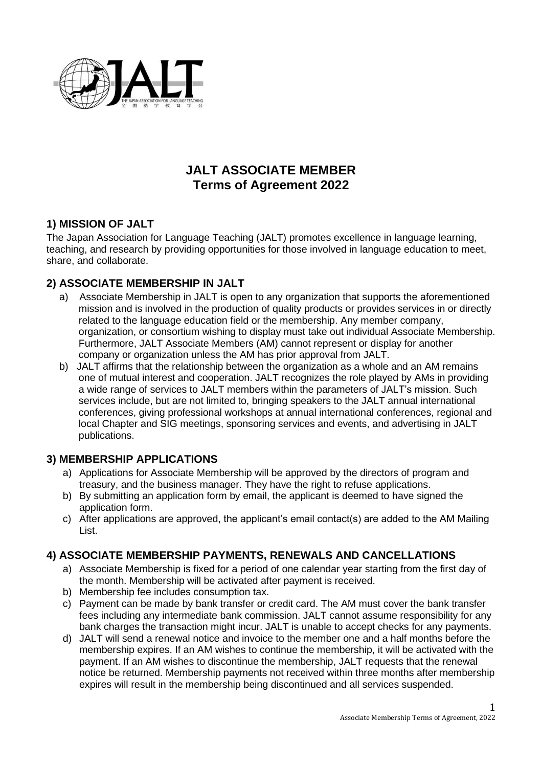

# **JALT ASSOCIATE MEMBER Terms of Agreement 2022**

# **1) MISSION OF JALT**

The Japan Association for Language Teaching (JALT) promotes excellence in language learning, teaching, and research by providing opportunities for those involved in language education to meet, share, and collaborate.

### **2) ASSOCIATE MEMBERSHIP IN JALT**

- a) Associate Membership in JALT is open to any organization that supports the aforementioned mission and is involved in the production of quality products or provides services in or directly related to the language education field or the membership. Any member company, organization, or consortium wishing to display must take out individual Associate Membership. Furthermore, JALT Associate Members (AM) cannot represent or display for another company or organization unless the AM has prior approval from JALT.
- b) JALT affirms that the relationship between the organization as a whole and an AM remains one of mutual interest and cooperation. JALT recognizes the role played by AMs in providing a wide range of services to JALT members within the parameters of JALT's mission. Such services include, but are not limited to, bringing speakers to the JALT annual international conferences, giving professional workshops at annual international conferences, regional and local Chapter and SIG meetings, sponsoring services and events, and advertising in JALT publications.

### **3) MEMBERSHIP APPLICATIONS**

- a) Applications for Associate Membership will be approved by the directors of program and treasury, and the business manager. They have the right to refuse applications.
- b) By submitting an application form by email, the applicant is deemed to have signed the application form.
- c) After applications are approved, the applicant's email contact(s) are added to the AM Mailing List.

### **4) ASSOCIATE MEMBERSHIP PAYMENTS, RENEWALS AND CANCELLATIONS**

- a) Associate Membership is fixed for a period of one calendar year starting from the first day of the month. Membership will be activated after payment is received.
- b) Membership fee includes consumption tax.
- c) Payment can be made by bank transfer or credit card. The AM must cover the bank transfer fees including any intermediate bank commission. JALT cannot assume responsibility for any bank charges the transaction might incur. JALT is unable to accept checks for any payments.
- d) JALT will send a renewal notice and invoice to the member one and a half months before the membership expires. If an AM wishes to continue the membership, it will be activated with the payment. If an AM wishes to discontinue the membership, JALT requests that the renewal notice be returned. Membership payments not received within three months after membership expires will result in the membership being discontinued and all services suspended.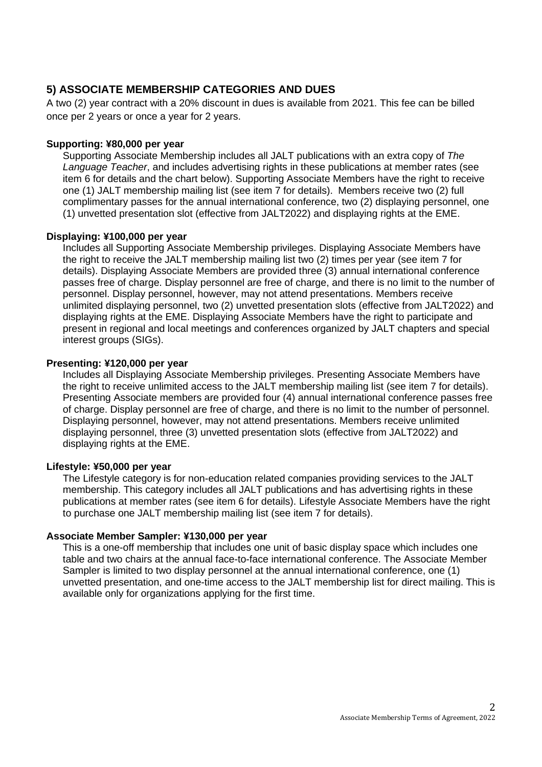## **5) ASSOCIATE MEMBERSHIP CATEGORIES AND DUES**

A two (2) year contract with a 20% discount in dues is available from 2021. This fee can be billed once per 2 years or once a year for 2 years.

#### **Supporting: ¥80,000 per year**

Supporting Associate Membership includes all JALT publications with an extra copy of *The Language Teacher*, and includes advertising rights in these publications at member rates (see item 6 for details and the chart below). Supporting Associate Members have the right to receive one (1) JALT membership mailing list (see item 7 for details). Members receive two (2) full complimentary passes for the annual international conference, two (2) displaying personnel, one (1) unvetted presentation slot (effective from JALT2022) and displaying rights at the EME.

#### **Displaying: ¥100,000 per year**

Includes all Supporting Associate Membership privileges. Displaying Associate Members have the right to receive the JALT membership mailing list two (2) times per year (see item 7 for details). Displaying Associate Members are provided three (3) annual international conference passes free of charge. Display personnel are free of charge, and there is no limit to the number of personnel. Display personnel, however, may not attend presentations. Members receive unlimited displaying personnel, two (2) unvetted presentation slots (effective from JALT2022) and displaying rights at the EME. Displaying Associate Members have the right to participate and present in regional and local meetings and conferences organized by JALT chapters and special interest groups (SIGs).

#### **Presenting: ¥120,000 per year**

Includes all Displaying Associate Membership privileges. Presenting Associate Members have the right to receive unlimited access to the JALT membership mailing list (see item 7 for details). Presenting Associate members are provided four (4) annual international conference passes free of charge. Display personnel are free of charge, and there is no limit to the number of personnel. Displaying personnel, however, may not attend presentations. Members receive unlimited displaying personnel, three (3) unvetted presentation slots (effective from JALT2022) and displaying rights at the EME.

#### **Lifestyle: ¥50,000 per year**

The Lifestyle category is for non-education related companies providing services to the JALT membership. This category includes all JALT publications and has advertising rights in these publications at member rates (see item 6 for details). Lifestyle Associate Members have the right to purchase one JALT membership mailing list (see item 7 for details).

#### **Associate Member Sampler: ¥130,000 per year**

This is a one-off membership that includes one unit of basic display space which includes one table and two chairs at the annual face-to-face international conference. The Associate Member Sampler is limited to two display personnel at the annual international conference, one (1) unvetted presentation, and one-time access to the JALT membership list for direct mailing. This is available only for organizations applying for the first time.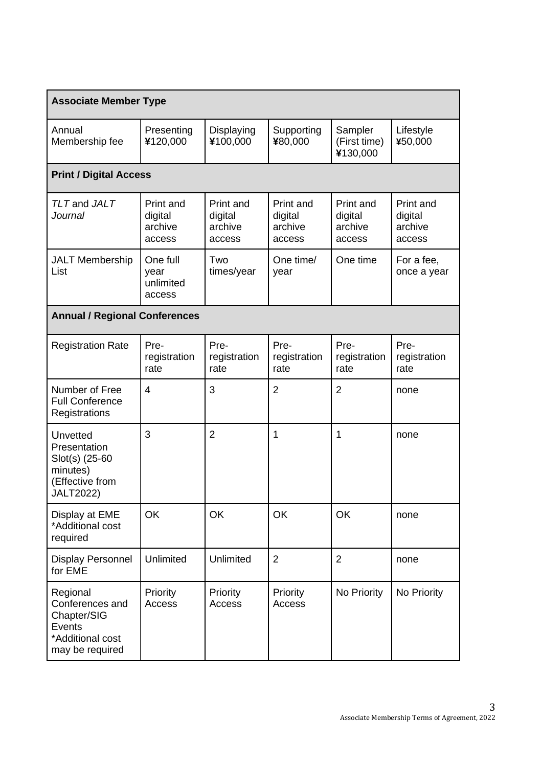| <b>Associate Member Type</b>                                                                         |                                           |                                           |                                           |                                           |                                           |  |  |  |  |
|------------------------------------------------------------------------------------------------------|-------------------------------------------|-------------------------------------------|-------------------------------------------|-------------------------------------------|-------------------------------------------|--|--|--|--|
| Annual<br>Membership fee                                                                             | Presenting<br>¥120,000                    | Displaying<br>¥100,000                    | Supporting<br>¥80,000                     | Sampler<br>(First time)<br>¥130,000       | Lifestyle<br>¥50,000                      |  |  |  |  |
| <b>Print / Digital Access</b>                                                                        |                                           |                                           |                                           |                                           |                                           |  |  |  |  |
| TLT and JALT<br><b>Journal</b>                                                                       | Print and<br>digital<br>archive<br>access | Print and<br>digital<br>archive<br>access | Print and<br>digital<br>archive<br>access | Print and<br>digital<br>archive<br>access | Print and<br>digital<br>archive<br>access |  |  |  |  |
| <b>JALT Membership</b><br>List                                                                       | One full<br>year<br>unlimited<br>access   | Two<br>times/year                         | One time/<br>year                         | One time                                  | For a fee,<br>once a year                 |  |  |  |  |
| <b>Annual / Regional Conferences</b>                                                                 |                                           |                                           |                                           |                                           |                                           |  |  |  |  |
| <b>Registration Rate</b>                                                                             | Pre-<br>registration<br>rate              | Pre-<br>registration<br>rate              | Pre-<br>registration<br>rate              | Pre-<br>registration<br>rate              | Pre-<br>registration<br>rate              |  |  |  |  |
| Number of Free<br><b>Full Conference</b><br>Registrations                                            | $\overline{4}$                            | 3                                         | $\overline{2}$                            | $\overline{2}$                            | none                                      |  |  |  |  |
| <b>Unvetted</b><br>Presentation<br>Slot(s) (25-60<br>minutes)<br>(Effective from<br><b>JALT2022)</b> | 3                                         | $\overline{2}$                            | 1                                         | 1                                         | none                                      |  |  |  |  |
| Display at EME<br>*Additional cost<br>required                                                       | OK                                        | OK                                        | OK                                        | OK                                        | none                                      |  |  |  |  |
| <b>Display Personnel</b><br>for EME                                                                  | Unlimited                                 | Unlimited                                 | $\overline{2}$                            | $\overline{2}$                            | none                                      |  |  |  |  |
| Regional<br>Conferences and<br>Chapter/SIG<br>Events<br>*Additional cost<br>may be required          | Priority<br>Access                        | Priority<br>Access                        | Priority<br>Access                        | No Priority                               | No Priority                               |  |  |  |  |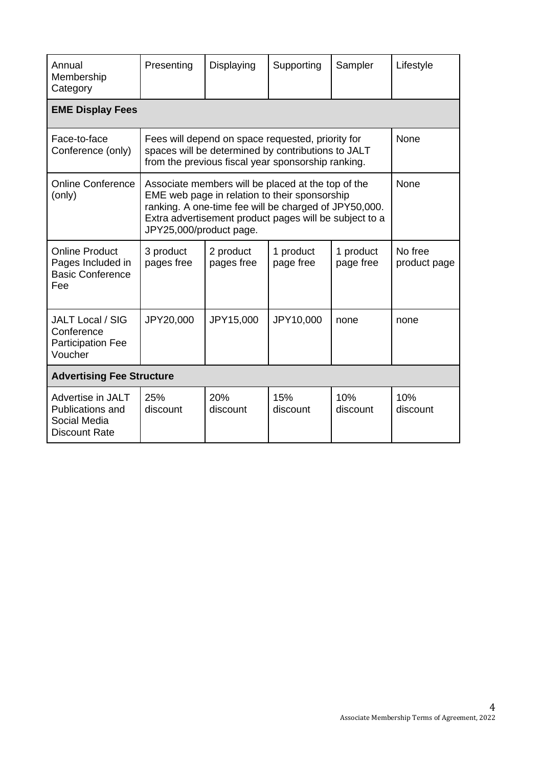| Annual<br>Membership<br>Category                                              | Presenting                                                                                                                                                                                                                                        | Displaying              | Supporting             | Sampler                | Lifestyle               |  |  |  |  |
|-------------------------------------------------------------------------------|---------------------------------------------------------------------------------------------------------------------------------------------------------------------------------------------------------------------------------------------------|-------------------------|------------------------|------------------------|-------------------------|--|--|--|--|
| <b>EME Display Fees</b>                                                       |                                                                                                                                                                                                                                                   |                         |                        |                        |                         |  |  |  |  |
| Face-to-face<br>Conference (only)                                             | Fees will depend on space requested, priority for<br>spaces will be determined by contributions to JALT<br>from the previous fiscal year sponsorship ranking.                                                                                     | None                    |                        |                        |                         |  |  |  |  |
| <b>Online Conference</b><br>(only)                                            | Associate members will be placed at the top of the<br>EME web page in relation to their sponsorship<br>ranking. A one-time fee will be charged of JPY50,000.<br>Extra advertisement product pages will be subject to a<br>JPY25,000/product page. | None                    |                        |                        |                         |  |  |  |  |
| <b>Online Product</b><br>Pages Included in<br><b>Basic Conference</b><br>Fee  | 3 product<br>pages free                                                                                                                                                                                                                           | 2 product<br>pages free | 1 product<br>page free | 1 product<br>page free | No free<br>product page |  |  |  |  |
| <b>JALT Local / SIG</b><br>Conference<br><b>Participation Fee</b><br>Voucher  | JPY20,000                                                                                                                                                                                                                                         | JPY15,000               | JPY10,000              | none                   | none                    |  |  |  |  |
| <b>Advertising Fee Structure</b>                                              |                                                                                                                                                                                                                                                   |                         |                        |                        |                         |  |  |  |  |
| Advertise in JALT<br>Publications and<br>Social Media<br><b>Discount Rate</b> | 25%<br>discount                                                                                                                                                                                                                                   | <b>20%</b><br>discount  | 15%<br>discount        | 10%<br>discount        | 10%<br>discount         |  |  |  |  |